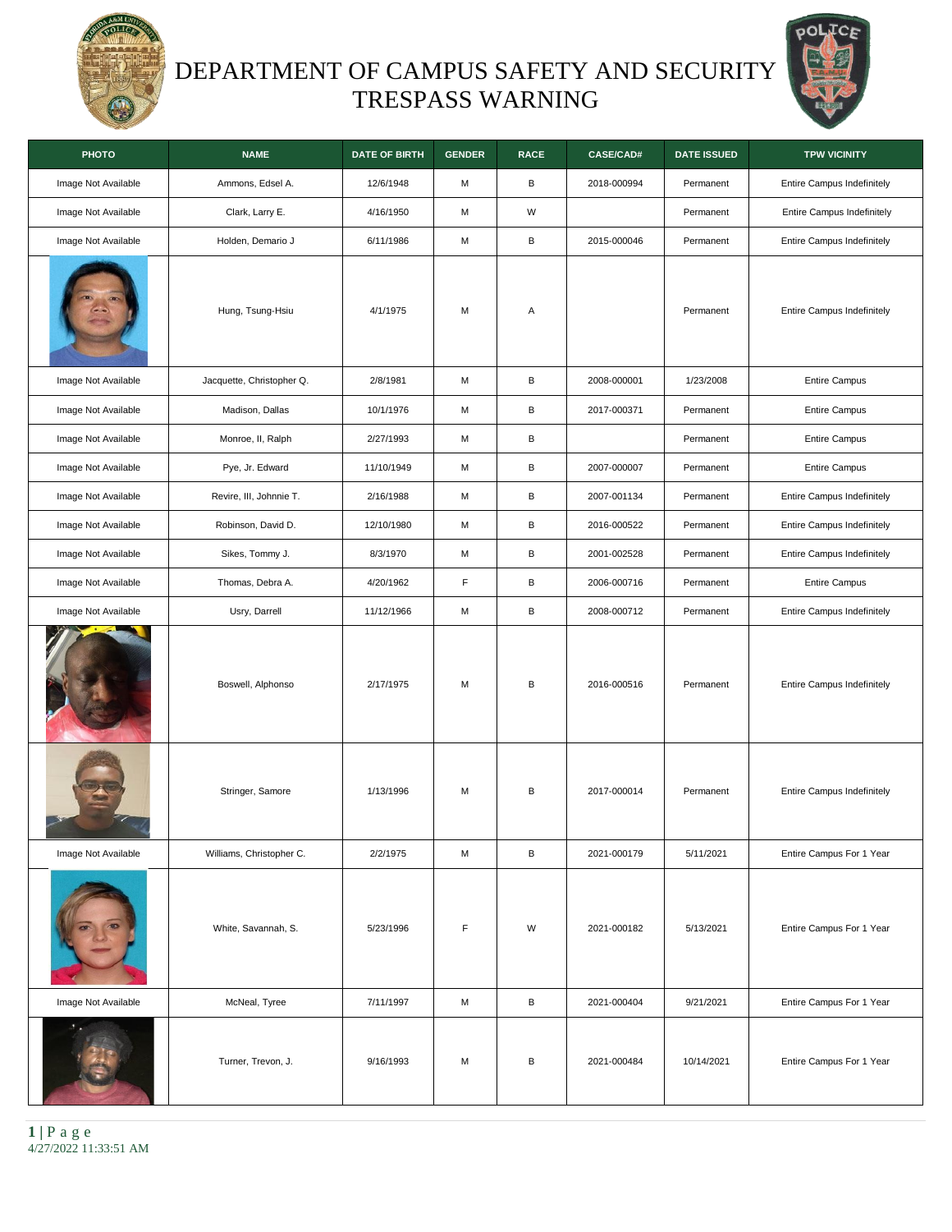

## DEPARTMENT OF CAMPUS SAFETY AND SECURITY TRESPASS WARNING



| <b>PHOTO</b>        | <b>NAME</b>               | <b>DATE OF BIRTH</b> | <b>GENDER</b> | <b>RACE</b>  | <b>CASE/CAD#</b> | <b>DATE ISSUED</b> | <b>TPW VICINITY</b>        |
|---------------------|---------------------------|----------------------|---------------|--------------|------------------|--------------------|----------------------------|
| Image Not Available | Ammons, Edsel A.          | 12/6/1948            | М             | $\, {\sf B}$ | 2018-000994      | Permanent          | Entire Campus Indefinitely |
| Image Not Available | Clark, Larry E.           | 4/16/1950            | М             | W            |                  | Permanent          | Entire Campus Indefinitely |
| Image Not Available | Holden, Demario J         | 6/11/1986            | М             | В            | 2015-000046      | Permanent          | Entire Campus Indefinitely |
|                     | Hung, Tsung-Hsiu          | 4/1/1975             | M             | Α            |                  | Permanent          | Entire Campus Indefinitely |
| Image Not Available | Jacquette, Christopher Q. | 2/8/1981             | М             | В            | 2008-000001      | 1/23/2008          | <b>Entire Campus</b>       |
| Image Not Available | Madison, Dallas           | 10/1/1976            | М             | В            | 2017-000371      | Permanent          | <b>Entire Campus</b>       |
| Image Not Available | Monroe, II, Ralph         | 2/27/1993            | М             | В            |                  | Permanent          | <b>Entire Campus</b>       |
| Image Not Available | Pye, Jr. Edward           | 11/10/1949           | М             | В            | 2007-000007      | Permanent          | <b>Entire Campus</b>       |
| Image Not Available | Revire, III, Johnnie T.   | 2/16/1988            | М             | В            | 2007-001134      | Permanent          | Entire Campus Indefinitely |
| Image Not Available | Robinson, David D.        | 12/10/1980           | М             | В            | 2016-000522      | Permanent          | Entire Campus Indefinitely |
| Image Not Available | Sikes, Tommy J.           | 8/3/1970             | М             | В            | 2001-002528      | Permanent          | Entire Campus Indefinitely |
| Image Not Available | Thomas, Debra A.          | 4/20/1962            | $\mathsf F$   | В            | 2006-000716      | Permanent          | <b>Entire Campus</b>       |
| Image Not Available | Usry, Darrell             | 11/12/1966           | М             | В            | 2008-000712      | Permanent          | Entire Campus Indefinitely |
|                     | Boswell, Alphonso         | 2/17/1975            | M             | B            | 2016-000516      | Permanent          | Entire Campus Indefinitely |
|                     | Stringer, Samore          | 1/13/1996            | М             | В            | 2017-000014      | Permanent          | Entire Campus Indefinitely |
| Image Not Available | Williams, Christopher C.  | 2/2/1975             | М             | В            | 2021-000179      | 5/11/2021          | Entire Campus For 1 Year   |
|                     | White, Savannah, S.       | 5/23/1996            | F             | W            | 2021-000182      | 5/13/2021          | Entire Campus For 1 Year   |
| Image Not Available | McNeal, Tyree             | 7/11/1997            | М             | В            | 2021-000404      | 9/21/2021          | Entire Campus For 1 Year   |
|                     | Turner, Trevon, J.        | 9/16/1993            | М             | в            | 2021-000484      | 10/14/2021         | Entire Campus For 1 Year   |

**1 |** P a g e 4/27/2022 11:33:51 AM